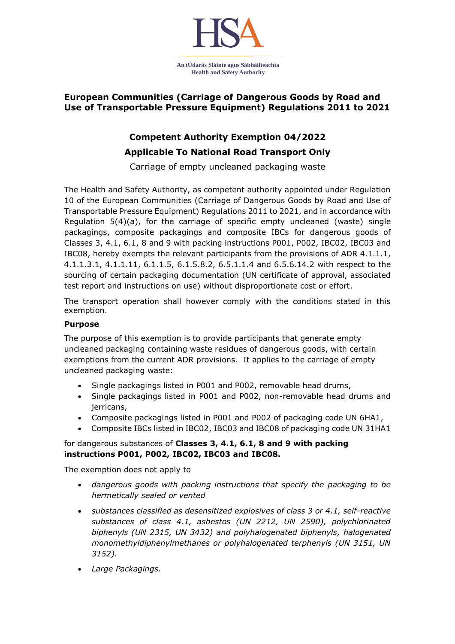

### **European Communities (Carriage of Dangerous Goods by Road and Use of Transportable Pressure Equipment) Regulations 2011 to 2021**

## **Competent Authority Exemption 04/2022 Applicable To National Road Transport Only**

Carriage of empty uncleaned packaging waste

The Health and Safety Authority, as competent authority appointed under Regulation 10 of the European Communities (Carriage of Dangerous Goods by Road and Use of Transportable Pressure Equipment) Regulations 2011 to 2021, and in accordance with Regulation  $5(4)(a)$ , for the carriage of specific empty uncleaned (waste) single packagings, composite packagings and composite IBCs for dangerous goods of Classes 3, 4.1, 6.1, 8 and 9 with packing instructions P001, P002, IBC02, IBC03 and IBC08, hereby exempts the relevant participants from the provisions of ADR 4.1.1.1, 4.1.1.3.1, 4.1.1.11, 6.1.1.5, 6.1.5.8.2, 6.5.1.1.4 and 6.5.6.14.2 with respect to the sourcing of certain packaging documentation (UN certificate of approval, associated test report and instructions on use) without disproportionate cost or effort.

The transport operation shall however comply with the conditions stated in this exemption.

#### **Purpose**

The purpose of this exemption is to provide participants that generate empty uncleaned packaging containing waste residues of dangerous goods, with certain exemptions from the current ADR provisions. It applies to the carriage of empty uncleaned packaging waste:

- Single packagings listed in P001 and P002, removable head drums,
- Single packagings listed in P001 and P002, non-removable head drums and jerricans,
- Composite packagings listed in P001 and P002 of packaging code UN 6HA1,
- Composite IBCs listed in IBC02, IBC03 and IBC08 of packaging code UN 31HA1

#### for dangerous substances of **Classes 3, 4.1, 6.1, 8 and 9 with packing instructions P001, P002, IBC02, IBC03 and IBC08.**

The exemption does not apply to

- *dangerous goods with packing instructions that specify the packaging to be hermetically sealed or vented*
- *substances classified as desensitized explosives of class 3 or 4.1, self-reactive substances of class 4.1, asbestos (UN 2212, UN 2590), polychlorinated biphenyls (UN 2315, UN 3432) and polyhalogenated biphenyls, halogenated monomethyldiphenylmethanes or polyhalogenated terphenyls (UN 3151, UN 3152).*
- *Large Packagings.*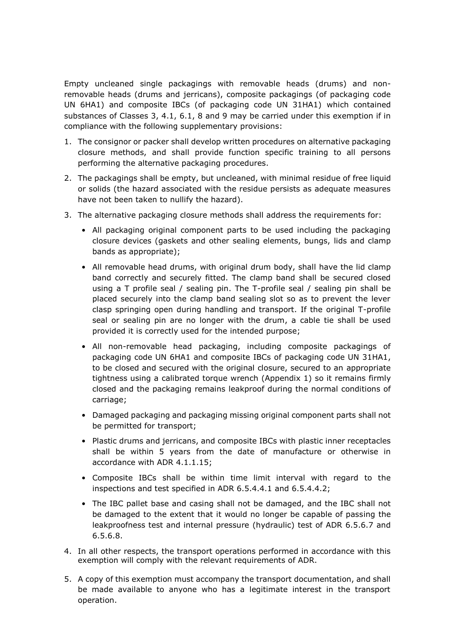Empty uncleaned single packagings with removable heads (drums) and nonremovable heads (drums and jerricans), composite packagings (of packaging code UN 6HA1) and composite IBCs (of packaging code UN 31HA1) which contained substances of Classes 3, 4.1, 6.1, 8 and 9 may be carried under this exemption if in compliance with the following supplementary provisions:

- 1. The consignor or packer shall develop written procedures on alternative packaging closure methods, and shall provide function specific training to all persons performing the alternative packaging procedures.
- 2. The packagings shall be empty, but uncleaned, with minimal residue of free liquid or solids (the hazard associated with the residue persists as adequate measures have not been taken to nullify the hazard).
- 3. The alternative packaging closure methods shall address the requirements for:
	- All packaging original component parts to be used including the packaging closure devices (gaskets and other sealing elements, bungs, lids and clamp bands as appropriate);
	- All removable head drums, with original drum body, shall have the lid clamp band correctly and securely fitted. The clamp band shall be secured closed using a T profile seal / sealing pin. The T-profile seal / sealing pin shall be placed securely into the clamp band sealing slot so as to prevent the lever clasp springing open during handling and transport. If the original T-profile seal or sealing pin are no longer with the drum, a cable tie shall be used provided it is correctly used for the intended purpose;
	- All non-removable head packaging, including composite packagings of packaging code UN 6HA1 and composite IBCs of packaging code UN 31HA1, to be closed and secured with the original closure, secured to an appropriate tightness using a calibrated torque wrench (Appendix 1) so it remains firmly closed and the packaging remains leakproof during the normal conditions of carriage;
	- Damaged packaging and packaging missing original component parts shall not be permitted for transport;
	- Plastic drums and jerricans, and composite IBCs with plastic inner receptacles shall be within 5 years from the date of manufacture or otherwise in accordance with ADR 4.1.1.15;
	- Composite IBCs shall be within time limit interval with regard to the inspections and test specified in ADR 6.5.4.4.1 and 6.5.4.4.2;
	- The IBC pallet base and casing shall not be damaged, and the IBC shall not be damaged to the extent that it would no longer be capable of passing the leakproofness test and internal pressure (hydraulic) test of ADR 6.5.6.7 and 6.5.6.8.
- 4. In all other respects, the transport operations performed in accordance with this exemption will comply with the relevant requirements of ADR.
- 5. A copy of this exemption must accompany the transport documentation, and shall be made available to anyone who has a legitimate interest in the transport operation.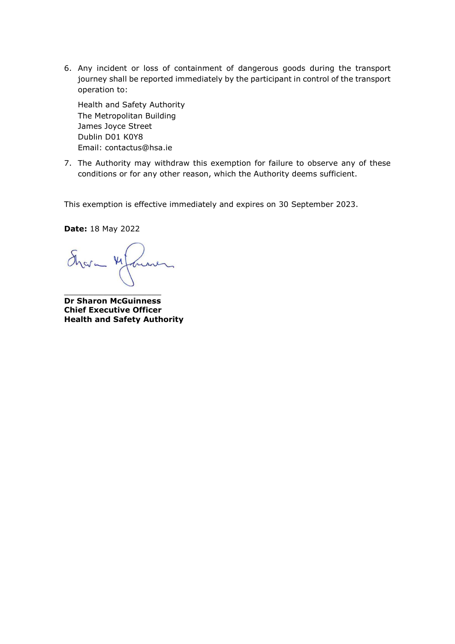6. Any incident or loss of containment of dangerous goods during the transport journey shall be reported immediately by the participant in control of the transport operation to:

Health and Safety Authority The Metropolitan Building James Joyce Street Dublin D01 K0Y8 Email: contactus@hsa.ie

7. The Authority may withdraw this exemption for failure to observe any of these conditions or for any other reason, which the Authority deems sufficient.

This exemption is effective immediately and expires on 30 September 2023.

**Date:** 18 May 2022

 $\delta$  $\mu$ 

\_\_\_\_\_\_\_\_\_\_\_\_\_\_\_\_\_\_\_\_

**Dr Sharon McGuinness Chief Executive Officer Health and Safety Authority**